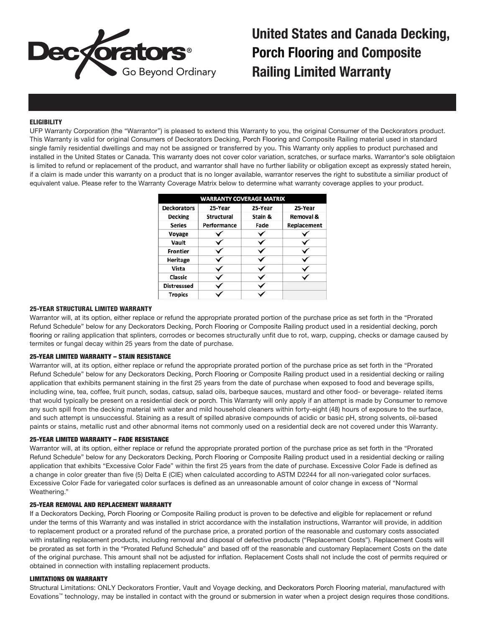

United States and Canada Decking, Porch Flooring and Composite Railing Limited Warranty

# **ELIGIBILITY**

UFP Warranty Corporation (the "Warrantor") is pleased to extend this Warranty to you, the original Consumer of the Deckorators product. This Warranty is valid for original Consumers of Deckorators Decking, Porch Flooring and Composite Railing material used in standard single family residential dwellings and may not be assigned or transferred by you. This Warranty only applies to product purchased and installed in the United States or Canada. This warranty does not cover color variation, scratches, or surface marks. Warrantor's sole obligtaion is limited to refund or replacement of the product, and warrantor shall have no further liability or obligation except as expressly stated herein, if a claim is made under this warranty on a product that is no longer available, warrantor reserves the right to substitute a similiar product of equivalent value. Please refer to the Warranty Coverage Matrix below to determine what warranty coverage applies to your product.

| <b>WARRANTY COVERAGE MATRIX</b> |                   |         |                      |
|---------------------------------|-------------------|---------|----------------------|
| <b>Deckorators</b>              | 25-Year           | 25-Year | 25-Year              |
| <b>Decking</b>                  | <b>Structural</b> | Stain & | <b>Removal &amp;</b> |
| <b>Series</b>                   | Performance       | Fade    | <b>Replacement</b>   |
| Voyage                          |                   |         |                      |
| Vault                           |                   |         |                      |
| <b>Frontier</b>                 |                   |         |                      |
| <b>Heritage</b>                 |                   |         |                      |
| Vista                           |                   |         |                      |
| Classic                         |                   |         |                      |
| <b>Distresssed</b>              |                   |         |                      |
| <b>Tropics</b>                  |                   |         |                      |

## 25-YEAR STRUCTURAL LIMITED WARRANTY

Warrantor will, at its option, either replace or refund the appropriate prorated portion of the purchase price as set forth in the "Prorated Refund Schedule" below for any Deckorators Decking, Porch Flooring or Composite Railing product used in a residential decking, porch flooring or railing application that splinters, corrodes or becomes structurally unfit due to rot, warp, cupping, checks or damage caused by termites or fungal decay within 25 years from the date of purchase.

#### 25-YEAR LIMITED WARRANTY – STAIN RESISTANCE

Warrantor will, at its option, either replace or refund the appropriate prorated portion of the purchase price as set forth in the "Prorated Refund Schedule" below for any Deckorators Decking, Porch Flooring or Composite Railing product used in a residential decking or railing application that exhibits permanent staining in the first 25 years from the date of purchase when exposed to food and beverage spills, including wine, tea, coffee, fruit punch, sodas, catsup, salad oils, barbeque sauces, mustard and other food- or beverage- related items that would typically be present on a residential deck or porch. This Warranty will only apply if an attempt is made by Consumer to remove any such spill from the decking material with water and mild household cleaners within forty-eight (48) hours of exposure to the surface, and such attempt is unsuccessful. Staining as a result of spilled abrasive compounds of acidic or basic pH, strong solvents, oil-based paints or stains, metallic rust and other abnormal items not commonly used on a residential deck are not covered under this Warranty.

### 25-YEAR LIMITED WARRANTY – FADE RESISTANCE

Warrantor will, at its option, either replace or refund the appropriate prorated portion of the purchase price as set forth in the "Prorated Refund Schedule" below for any Deckorators Decking, Porch Flooring or Composite Railing product used in a residential decking or railing application that exhibits "Excessive Color Fade" within the first 25 years from the date of purchase. Excessive Color Fade is defined as a change in color greater than five (5) Delta E (CIE) when calculated according to ASTM D2244 for all non-variegated color surfaces. Excessive Color Fade for variegated color surfaces is defined as an unreasonable amount of color change in excess of "Normal Weathering."

### 25-YEAR REMOVAL AND REPLACEMENT WARRANTY

If a Deckorators Decking, Porch Flooring or Composite Railing product is proven to be defective and eligible for replacement or refund under the terms of this Warranty and was installed in strict accordance with the installation instructions, Warrantor will provide, in addition to replacement product or a prorated refund of the purchase price, a prorated portion of the reasonable and customary costs associated with installing replacement products, including removal and disposal of defective products ("Replacement Costs"). Replacement Costs will be prorated as set forth in the "Prorated Refund Schedule" and based off of the reasonable and customary Replacement Costs on the date of the original purchase. This amount shall not be adjusted for inflation. Replacement Costs shall not include the cost of permits required or obtained in connection with installing replacement products.

## LIMITATIONS ON WARRANTY

Structural Limitations: ONLY Deckorators Frontier, Vault and Voyage decking, and Deckorators Porch Flooring material, manufactured with Eovations™ technology, may be installed in contact with the ground or submersion in water when a project design requires those conditions.